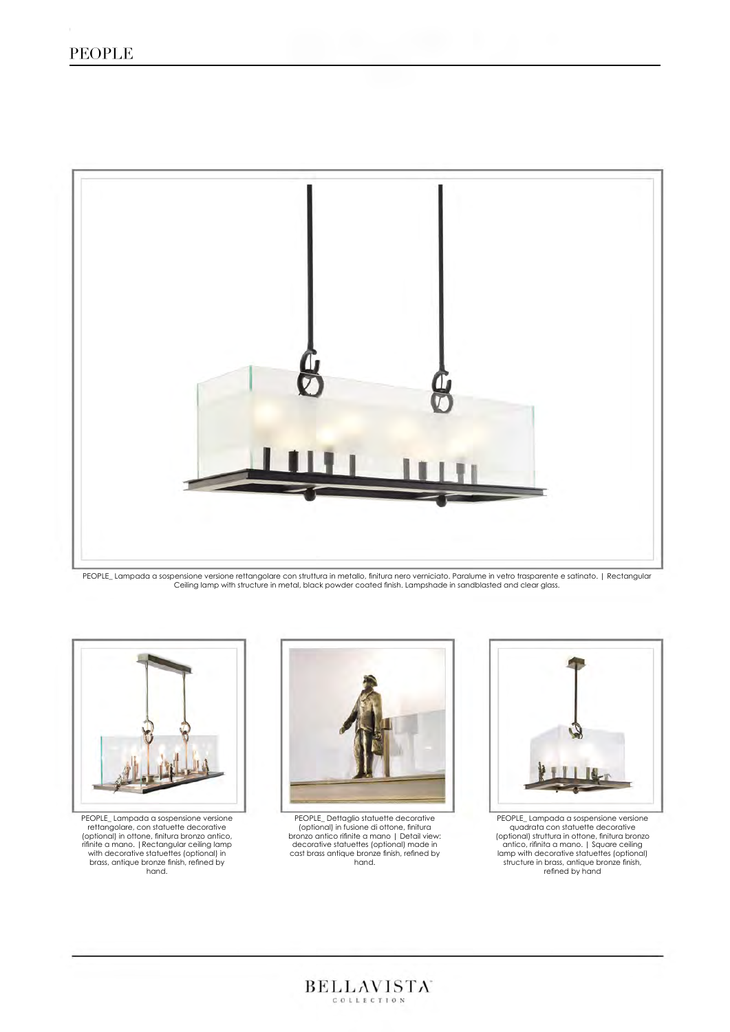# PEOPLE



PEOPLE\_ Lampada a sospensione versione rettangolare con struttura in metallo, finitura nero verniciato. Paralume in vetro trasparente e satinato. | Rectangular<br>Ceiling lamp with structure in metal, black powder coated fini



PEOPLE\_ Lampada a sospensione versione rettangolare, con statuette decorative<br>
(optional) in ottone, finitura bronzo antico,<br>
finitie a mano. |Rectangular ceiling lamp<br>
with decorative statuettes (optional) in<br>
brass, antique bronze finish, refined by<br>
hand.



PEOPLE\_ Dettaglio statuette decorative (optional) in fusione di ottone, finitura bronzo antico rifinite a mano | Detail view: decorative statuettes (optional) made in cast brass antique bronze finish, refined by hand.

 $\text{BELLAVISTA}^{\cdot}$ 



PEOPLE\_Lampada a sospensione versione<br>quadrat con statuette decorative<br>(optional) struttura in ottone, finitura bronza<br>antico, rifinita a mano. | Square ceiling<br>lamp with decorative statuettes (optional)<br>structure in brass